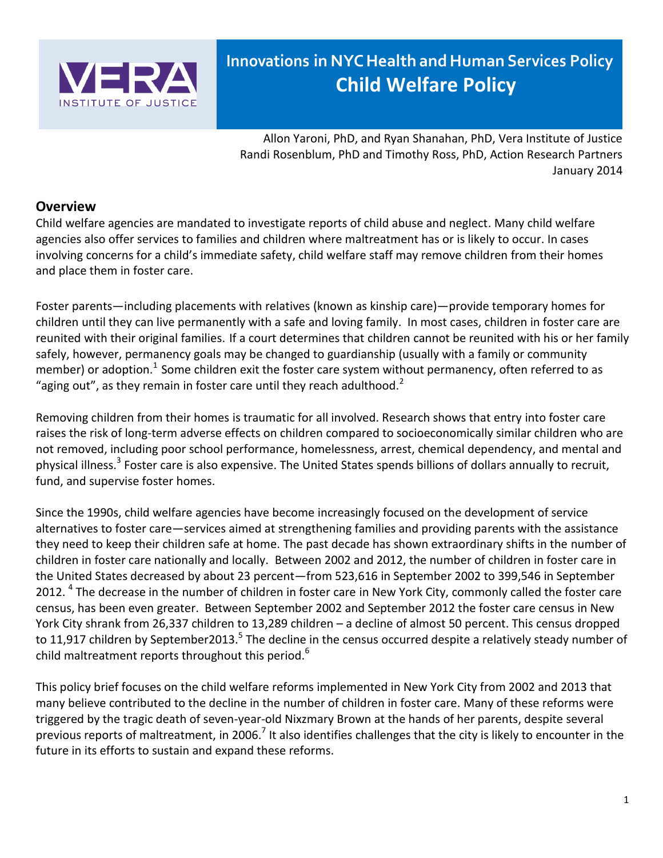

# **Innovations in NYC Health and Human Services Policy Child Welfare Policy**

Allon Yaroni, PhD, and Ryan Shanahan, PhD, Vera Institute of Justice Randi Rosenblum, PhD and Timothy Ross, PhD, Action Research Partners January 2014

# **Overview**

Child welfare agencies are mandated to investigate reports of child abuse and neglect. Many child welfare agencies also offer services to families and children where maltreatment has or is likely to occur. In cases involving concerns for a child's immediate safety, child welfare staff may remove children from their homes and place them in foster care.

Foster parents—including placements with relatives (known as kinship care)—provide temporary homes for children until they can live permanently with a safe and loving family. In most cases, children in foster care are reunited with their original families. If a court determines that children cannot be reunited with his or her family safely, however, permanency goals may be changed to guardianship (usually with a family or community member) or adoption.<sup>1</sup> Some children exit the foster care system without permanency, often referred to as "aging out", as they remain in foster care until they reach adulthood. $2$ 

Removing children from their homes is traumatic for all involved. Research shows that entry into foster care raises the risk of long-term adverse effects on children compared to socioeconomically similar children who are not removed, including poor school performance, homelessness, arrest, chemical dependency, and mental and physical illness.<sup>3</sup> Foster care is also expensive. The United States spends billions of dollars annually to recruit, fund, and supervise foster homes.

Since the 1990s, child welfare agencies have become increasingly focused on the development of service alternatives to foster care—services aimed at strengthening families and providing parents with the assistance they need to keep their children safe at home. The past decade has shown extraordinary shifts in the number of children in foster care nationally and locally. Between 2002 and 2012, the number of children in foster care in the United States decreased by about 23 percent—from 523,616 in September 2002 to 399,546 in September 2012. <sup>4</sup> The decrease in the number of children in foster care in New York City, commonly called the foster care census, has been even greater. Between September 2002 and September 2012 the foster care census in New York City shrank from 26,337 children to 13,289 children – a decline of almost 50 percent. This census dropped to 11,917 children by September2013.<sup>5</sup> The decline in the census occurred despite a relatively steady number of child maltreatment reports throughout this period.<sup>6</sup>

This policy brief focuses on the child welfare reforms implemented in New York City from 2002 and 2013 that many believe contributed to the decline in the number of children in foster care. Many of these reforms were triggered by the tragic death of seven-year-old Nixzmary Brown at the hands of her parents, despite several previous reports of maltreatment, in 2006.<sup>7</sup> It also identifies challenges that the city is likely to encounter in the future in its efforts to sustain and expand these reforms.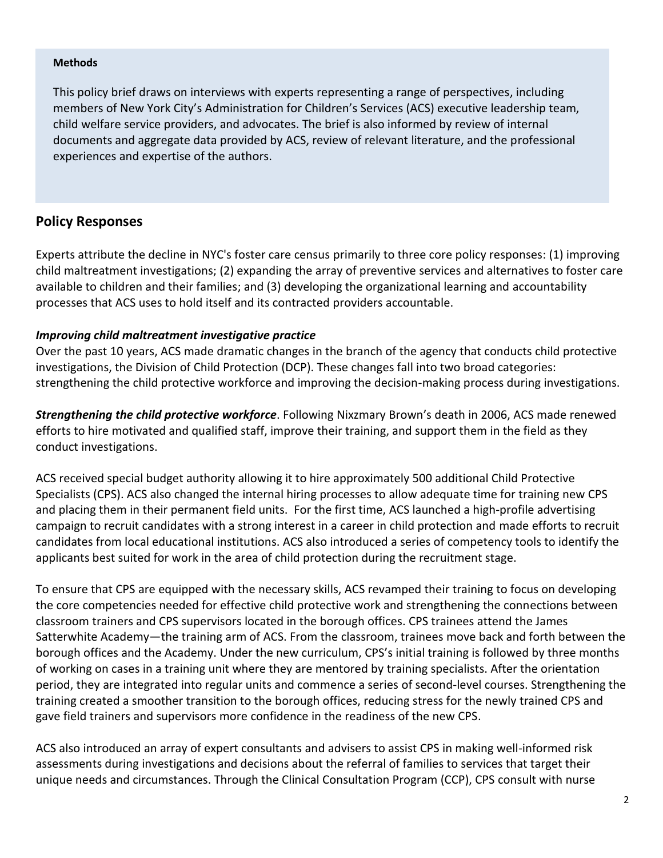#### **Methods**

This policy brief draws on interviews with experts representing a range of perspectives, including members of New York City's Administration for Children's Services (ACS) executive leadership team, child welfare service providers, and advocates. The brief is also informed by review of internal documents and aggregate data provided by ACS, review of relevant literature, and the professional experiences and expertise of the authors.

### **Policy Responses**

Experts attribute the decline in NYC's foster care census primarily to three core policy responses: (1) improving child maltreatment investigations; (2) expanding the array of preventive services and alternatives to foster care available to children and their families; and (3) developing the organizational learning and accountability processes that ACS uses to hold itself and its contracted providers accountable.

#### *Improving child maltreatment investigative practice*

Over the past 10 years, ACS made dramatic changes in the branch of the agency that conducts child protective investigations, the Division of Child Protection (DCP). These changes fall into two broad categories: strengthening the child protective workforce and improving the decision-making process during investigations.

*Strengthening the child protective workforce*. Following Nixzmary Brown's death in 2006, ACS made renewed efforts to hire motivated and qualified staff, improve their training, and support them in the field as they conduct investigations.

ACS received special budget authority allowing it to hire approximately 500 additional Child Protective Specialists (CPS). ACS also changed the internal hiring processes to allow adequate time for training new CPS and placing them in their permanent field units. For the first time, ACS launched a high-profile advertising campaign to recruit candidates with a strong interest in a career in child protection and made efforts to recruit candidates from local educational institutions. ACS also introduced a series of competency tools to identify the applicants best suited for work in the area of child protection during the recruitment stage.

To ensure that CPS are equipped with the necessary skills, ACS revamped their training to focus on developing the core competencies needed for effective child protective work and strengthening the connections between classroom trainers and CPS supervisors located in the borough offices. CPS trainees attend the James Satterwhite Academy—the training arm of ACS. From the classroom, trainees move back and forth between the borough offices and the Academy. Under the new curriculum, CPS's initial training is followed by three months of working on cases in a training unit where they are mentored by training specialists. After the orientation period, they are integrated into regular units and commence a series of second-level courses. Strengthening the training created a smoother transition to the borough offices, reducing stress for the newly trained CPS and gave field trainers and supervisors more confidence in the readiness of the new CPS.

ACS also introduced an array of expert consultants and advisers to assist CPS in making well-informed risk assessments during investigations and decisions about the referral of families to services that target their unique needs and circumstances. Through the Clinical Consultation Program (CCP), CPS consult with nurse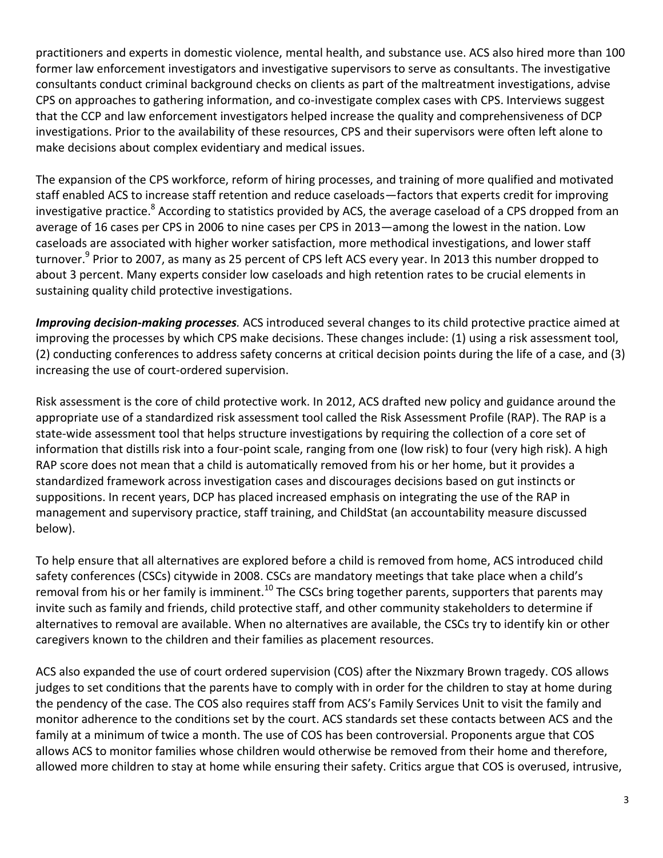practitioners and experts in domestic violence, mental health, and substance use. ACS also hired more than 100 former law enforcement investigators and investigative supervisors to serve as consultants. The investigative consultants conduct criminal background checks on clients as part of the maltreatment investigations, advise CPS on approaches to gathering information, and co-investigate complex cases with CPS. Interviews suggest that the CCP and law enforcement investigators helped increase the quality and comprehensiveness of DCP investigations. Prior to the availability of these resources, CPS and their supervisors were often left alone to make decisions about complex evidentiary and medical issues.

The expansion of the CPS workforce, reform of hiring processes, and training of more qualified and motivated staff enabled ACS to increase staff retention and reduce caseloads—factors that experts credit for improving investigative practice.<sup>8</sup> According to statistics provided by ACS, the average caseload of a CPS dropped from an average of 16 cases per CPS in 2006 to nine cases per CPS in 2013—among the lowest in the nation. Low caseloads are associated with higher worker satisfaction, more methodical investigations, and lower staff turnover.<sup>9</sup> Prior to 2007, as many as 25 percent of CPS left ACS every year. In 2013 this number dropped to about 3 percent. Many experts consider low caseloads and high retention rates to be crucial elements in sustaining quality child protective investigations.

*Improving decision-making processes.* ACS introduced several changes to its child protective practice aimed at improving the processes by which CPS make decisions. These changes include: (1) using a risk assessment tool, (2) conducting conferences to address safety concerns at critical decision points during the life of a case, and (3) increasing the use of court-ordered supervision.

Risk assessment is the core of child protective work. In 2012, ACS drafted new policy and guidance around the appropriate use of a standardized risk assessment tool called the Risk Assessment Profile (RAP). The RAP is a state-wide assessment tool that helps structure investigations by requiring the collection of a core set of information that distills risk into a four-point scale, ranging from one (low risk) to four (very high risk). A high RAP score does not mean that a child is automatically removed from his or her home, but it provides a standardized framework across investigation cases and discourages decisions based on gut instincts or suppositions. In recent years, DCP has placed increased emphasis on integrating the use of the RAP in management and supervisory practice, staff training, and ChildStat (an accountability measure discussed below).

To help ensure that all alternatives are explored before a child is removed from home, ACS introduced child safety conferences (CSCs) citywide in 2008. CSCs are mandatory meetings that take place when a child's removal from his or her family is imminent.<sup>10</sup> The CSCs bring together parents, supporters that parents may invite such as family and friends, child protective staff, and other community stakeholders to determine if alternatives to removal are available. When no alternatives are available, the CSCs try to identify kin or other caregivers known to the children and their families as placement resources.

ACS also expanded the use of court ordered supervision (COS) after the Nixzmary Brown tragedy. COS allows judges to set conditions that the parents have to comply with in order for the children to stay at home during the pendency of the case. The COS also requires staff from ACS's Family Services Unit to visit the family and monitor adherence to the conditions set by the court. ACS standards set these contacts between ACS and the family at a minimum of twice a month. The use of COS has been controversial. Proponents argue that COS allows ACS to monitor families whose children would otherwise be removed from their home and therefore, allowed more children to stay at home while ensuring their safety. Critics argue that COS is overused, intrusive,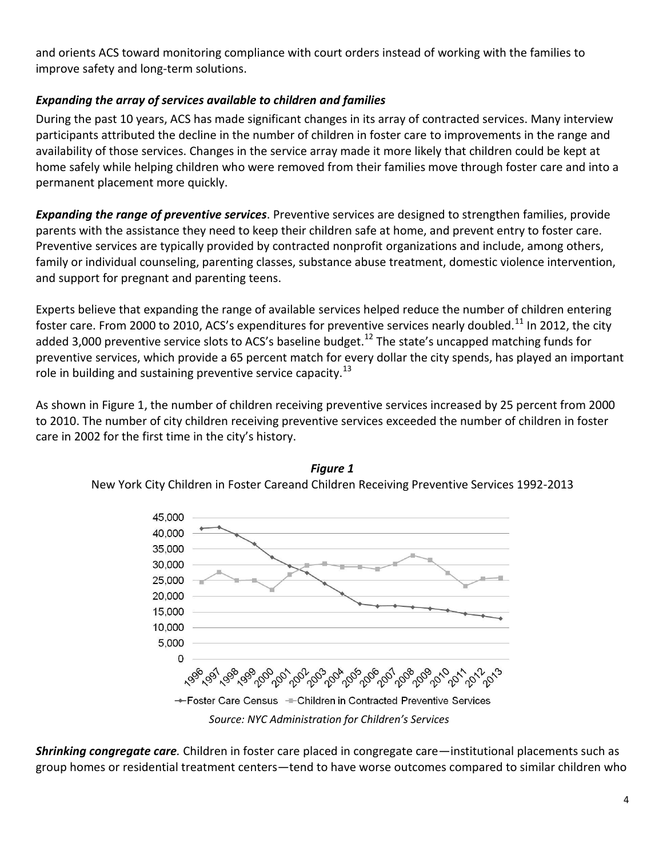and orients ACS toward monitoring compliance with court orders instead of working with the families to improve safety and long-term solutions.

# *Expanding the array of services available to children and families*

During the past 10 years, ACS has made significant changes in its array of contracted services. Many interview participants attributed the decline in the number of children in foster care to improvements in the range and availability of those services. Changes in the service array made it more likely that children could be kept at home safely while helping children who were removed from their families move through foster care and into a permanent placement more quickly.

*Expanding the range of preventive services*. Preventive services are designed to strengthen families, provide parents with the assistance they need to keep their children safe at home, and prevent entry to foster care. Preventive services are typically provided by contracted nonprofit organizations and include, among others, family or individual counseling, parenting classes, substance abuse treatment, domestic violence intervention, and support for pregnant and parenting teens.

Experts believe that expanding the range of available services helped reduce the number of children entering foster care. From 2000 to 2010, ACS's expenditures for preventive services nearly doubled.<sup>11</sup> In 2012, the city added 3,000 preventive service slots to ACS's baseline budget.<sup>12</sup> The state's uncapped matching funds for preventive services, which provide a 65 percent match for every dollar the city spends, has played an important role in building and sustaining preventive service capacity.<sup>13</sup>

As shown in Figure 1, the number of children receiving preventive services increased by 25 percent from 2000 to 2010. The number of city children receiving preventive services exceeded the number of children in foster care in 2002 for the first time in the city's history.





*Shrinking congregate care.* Children in foster care placed in congregate care—institutional placements such as group homes or residential treatment centers—tend to have worse outcomes compared to similar children who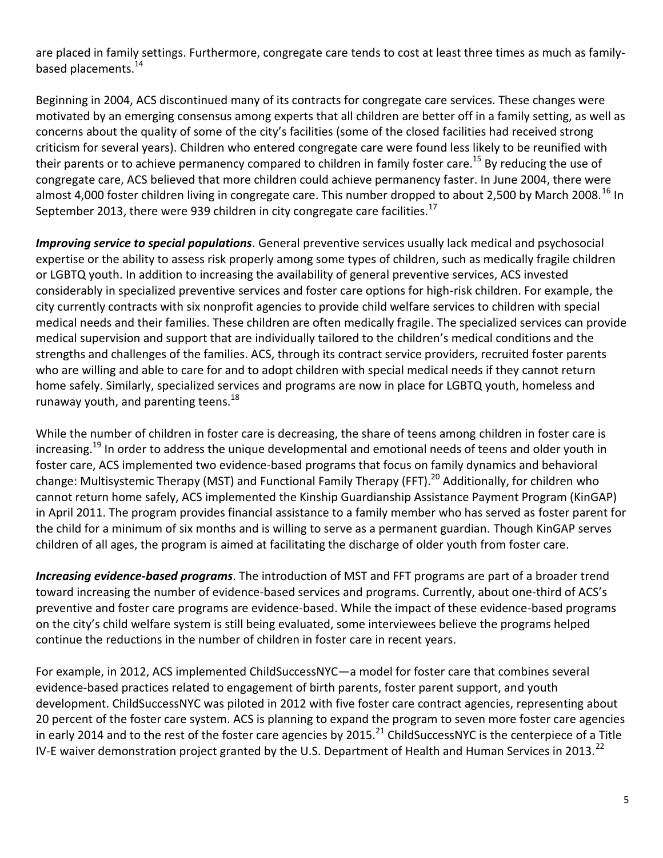are placed in family settings. Furthermore, congregate care tends to cost at least three times as much as familybased placements.<sup>14</sup>

Beginning in 2004, ACS discontinued many of its contracts for congregate care services. These changes were motivated by an emerging consensus among experts that all children are better off in a family setting, as well as concerns about the quality of some of the city's facilities (some of the closed facilities had received strong criticism for several years). Children who entered congregate care were found less likely to be reunified with their parents or to achieve permanency compared to children in family foster care.<sup>15</sup> By reducing the use of congregate care, ACS believed that more children could achieve permanency faster. In June 2004, there were almost 4,000 foster children living in congregate care. This number dropped to about 2,500 by March 2008.<sup>16</sup> In September 2013, there were 939 children in city congregate care facilities.<sup>17</sup>

*Improving service to special populations*. General preventive services usually lack medical and psychosocial expertise or the ability to assess risk properly among some types of children, such as medically fragile children or LGBTQ youth. In addition to increasing the availability of general preventive services, ACS invested considerably in specialized preventive services and foster care options for high-risk children. For example, the city currently contracts with six nonprofit agencies to provide child welfare services to children with special medical needs and their families. These children are often medically fragile. The specialized services can provide medical supervision and support that are individually tailored to the children's medical conditions and the strengths and challenges of the families. ACS, through its contract service providers, recruited foster parents who are willing and able to care for and to adopt children with special medical needs if they cannot return home safely. Similarly, specialized services and programs are now in place for LGBTQ youth, homeless and runaway youth, and parenting teens.<sup>18</sup>

While the number of children in foster care is decreasing, the share of teens among children in foster care is increasing.<sup>19</sup> In order to address the unique developmental and emotional needs of teens and older youth in foster care, ACS implemented two evidence-based programs that focus on family dynamics and behavioral change: Multisystemic Therapy (MST) and Functional Family Therapy (FFT).<sup>20</sup> Additionally, for children who cannot return home safely, ACS implemented the Kinship Guardianship Assistance Payment Program (KinGAP) in April 2011. The program provides financial assistance to a family member who has served as foster parent for the child for a minimum of six months and is willing to serve as a permanent guardian. Though KinGAP serves children of all ages, the program is aimed at facilitating the discharge of older youth from foster care.

*Increasing evidence-based programs*. The introduction of MST and FFT programs are part of a broader trend toward increasing the number of evidence-based services and programs. Currently, about one-third of ACS's preventive and foster care programs are evidence-based. While the impact of these evidence-based programs on the city's child welfare system is still being evaluated, some interviewees believe the programs helped continue the reductions in the number of children in foster care in recent years.

For example, in 2012, ACS implemented ChildSuccessNYC—a model for foster care that combines several evidence-based practices related to engagement of birth parents, foster parent support, and youth development. ChildSuccessNYC was piloted in 2012 with five foster care contract agencies, representing about 20 percent of the foster care system. ACS is planning to expand the program to seven more foster care agencies in early 2014 and to the rest of the foster care agencies by 2015.<sup>21</sup> ChildSuccessNYC is the centerpiece of a Title IV-E waiver demonstration project granted by the U.S. Department of Health and Human Services in 2013.<sup>22</sup>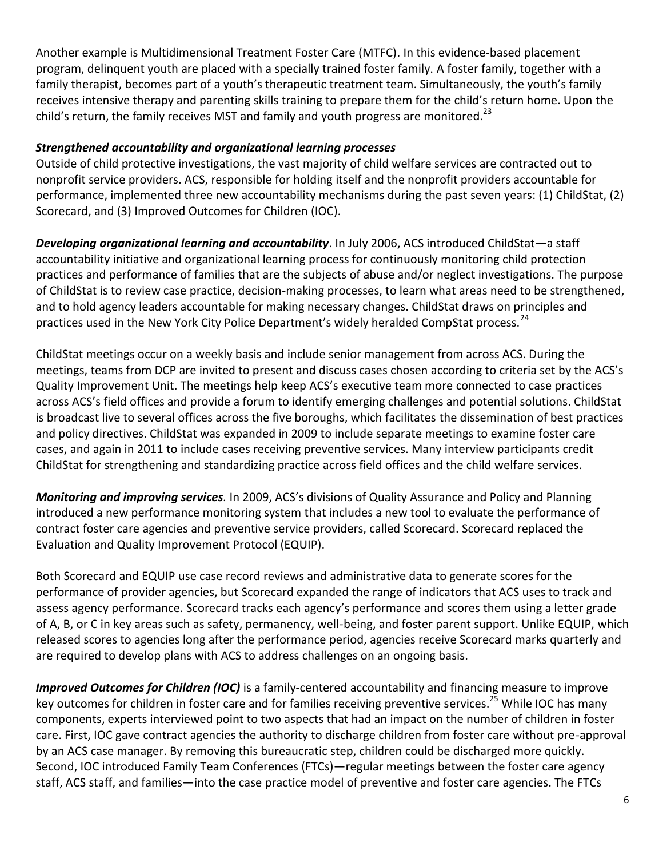Another example is Multidimensional Treatment Foster Care (MTFC). In this evidence-based placement program, delinquent youth are placed with a specially trained foster family. A foster family, together with a family therapist, becomes part of a youth's therapeutic treatment team. Simultaneously, the youth's family receives intensive therapy and parenting skills training to prepare them for the child's return home. Upon the child's return, the family receives MST and family and youth progress are monitored.<sup>23</sup>

# *Strengthened accountability and organizational learning processes*

Outside of child protective investigations, the vast majority of child welfare services are contracted out to nonprofit service providers. ACS, responsible for holding itself and the nonprofit providers accountable for performance, implemented three new accountability mechanisms during the past seven years: (1) ChildStat, (2) Scorecard, and (3) Improved Outcomes for Children (IOC).

*Developing organizational learning and accountability*. In July 2006, ACS introduced ChildStat—a staff accountability initiative and organizational learning process for continuously monitoring child protection practices and performance of families that are the subjects of abuse and/or neglect investigations. The purpose of ChildStat is to review case practice, decision-making processes, to learn what areas need to be strengthened, and to hold agency leaders accountable for making necessary changes. ChildStat draws on principles and practices used in the New York City Police Department's widely heralded CompStat process.<sup>24</sup>

ChildStat meetings occur on a weekly basis and include senior management from across ACS. During the meetings, teams from DCP are invited to present and discuss cases chosen according to criteria set by the ACS's Quality Improvement Unit. The meetings help keep ACS's executive team more connected to case practices across ACS's field offices and provide a forum to identify emerging challenges and potential solutions. ChildStat is broadcast live to several offices across the five boroughs, which facilitates the dissemination of best practices and policy directives. ChildStat was expanded in 2009 to include separate meetings to examine foster care cases, and again in 2011 to include cases receiving preventive services. Many interview participants credit ChildStat for strengthening and standardizing practice across field offices and the child welfare services.

*Monitoring and improving services.* In 2009, ACS's divisions of Quality Assurance and Policy and Planning introduced a new performance monitoring system that includes a new tool to evaluate the performance of contract foster care agencies and preventive service providers, called Scorecard. Scorecard replaced the Evaluation and Quality Improvement Protocol (EQUIP).

Both Scorecard and EQUIP use case record reviews and administrative data to generate scores for the performance of provider agencies, but Scorecard expanded the range of indicators that ACS uses to track and assess agency performance. Scorecard tracks each agency's performance and scores them using a letter grade of A, B, or C in key areas such as safety, permanency, well-being, and foster parent support. Unlike EQUIP, which released scores to agencies long after the performance period, agencies receive Scorecard marks quarterly and are required to develop plans with ACS to address challenges on an ongoing basis.

*Improved Outcomes for Children (IOC)* is a family-centered accountability and financing measure to improve key outcomes for children in foster care and for families receiving preventive services.<sup>25</sup> While IOC has many components, experts interviewed point to two aspects that had an impact on the number of children in foster care. First, IOC gave contract agencies the authority to discharge children from foster care without pre-approval by an ACS case manager. By removing this bureaucratic step, children could be discharged more quickly. Second, IOC introduced Family Team Conferences (FTCs)—regular meetings between the foster care agency staff, ACS staff, and families—into the case practice model of preventive and foster care agencies. The FTCs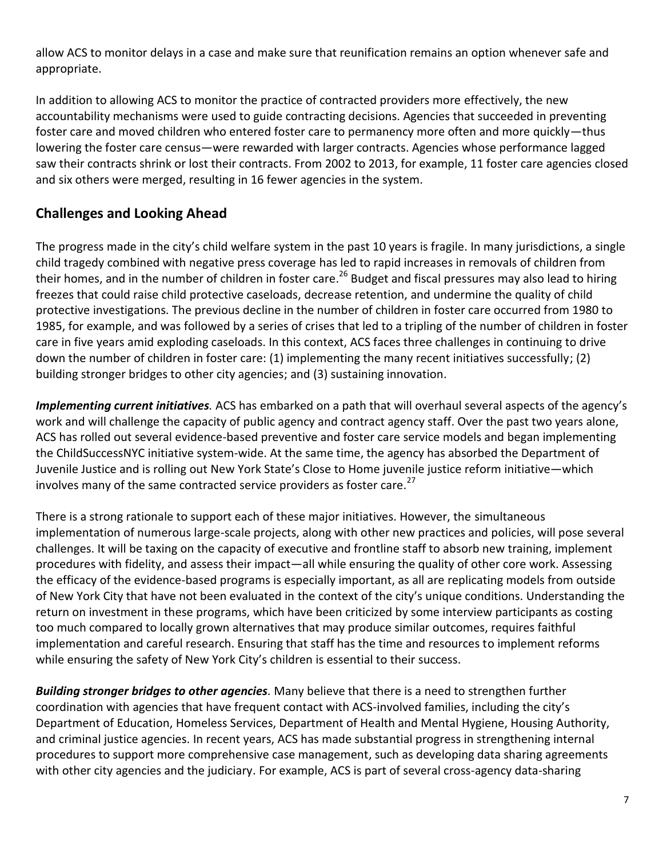allow ACS to monitor delays in a case and make sure that reunification remains an option whenever safe and appropriate.

In addition to allowing ACS to monitor the practice of contracted providers more effectively, the new accountability mechanisms were used to guide contracting decisions. Agencies that succeeded in preventing foster care and moved children who entered foster care to permanency more often and more quickly—thus lowering the foster care census—were rewarded with larger contracts. Agencies whose performance lagged saw their contracts shrink or lost their contracts. From 2002 to 2013, for example, 11 foster care agencies closed and six others were merged, resulting in 16 fewer agencies in the system.

# **Challenges and Looking Ahead**

The progress made in the city's child welfare system in the past 10 years is fragile. In many jurisdictions, a single child tragedy combined with negative press coverage has led to rapid increases in removals of children from their homes, and in the number of children in foster care.<sup>26</sup> Budget and fiscal pressures may also lead to hiring freezes that could raise child protective caseloads, decrease retention, and undermine the quality of child protective investigations. The previous decline in the number of children in foster care occurred from 1980 to 1985, for example, and was followed by a series of crises that led to a tripling of the number of children in foster care in five years amid exploding caseloads. In this context, ACS faces three challenges in continuing to drive down the number of children in foster care: (1) implementing the many recent initiatives successfully; (2) building stronger bridges to other city agencies; and (3) sustaining innovation.

*Implementing current initiatives.* ACS has embarked on a path that will overhaul several aspects of the agency's work and will challenge the capacity of public agency and contract agency staff. Over the past two years alone, ACS has rolled out several evidence-based preventive and foster care service models and began implementing the ChildSuccessNYC initiative system-wide. At the same time, the agency has absorbed the Department of Juvenile Justice and is rolling out New York State's Close to Home juvenile justice reform initiative—which involves many of the same contracted service providers as foster care. $27$ 

There is a strong rationale to support each of these major initiatives. However, the simultaneous implementation of numerous large-scale projects, along with other new practices and policies, will pose several challenges. It will be taxing on the capacity of executive and frontline staff to absorb new training, implement procedures with fidelity, and assess their impact—all while ensuring the quality of other core work. Assessing the efficacy of the evidence-based programs is especially important, as all are replicating models from outside of New York City that have not been evaluated in the context of the city's unique conditions. Understanding the return on investment in these programs, which have been criticized by some interview participants as costing too much compared to locally grown alternatives that may produce similar outcomes, requires faithful implementation and careful research. Ensuring that staff has the time and resources to implement reforms while ensuring the safety of New York City's children is essential to their success.

*Building stronger bridges to other agencies.* Many believe that there is a need to strengthen further coordination with agencies that have frequent contact with ACS-involved families, including the city's Department of Education, Homeless Services, Department of Health and Mental Hygiene, Housing Authority, and criminal justice agencies. In recent years, ACS has made substantial progress in strengthening internal procedures to support more comprehensive case management, such as developing data sharing agreements with other city agencies and the judiciary. For example, ACS is part of several cross-agency data-sharing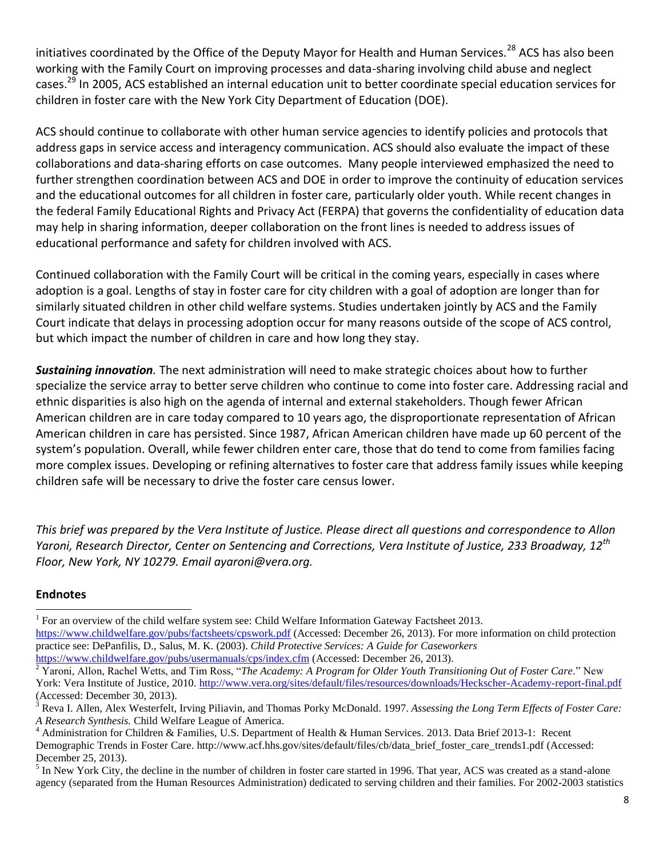initiatives coordinated by the Office of the Deputy Mayor for Health and Human Services.<sup>28</sup> ACS has also been working with the Family Court on improving processes and data-sharing involving child abuse and neglect cases.<sup>29</sup> In 2005, ACS established an internal education unit to better coordinate special education services for children in foster care with the New York City Department of Education (DOE).

ACS should continue to collaborate with other human service agencies to identify policies and protocols that address gaps in service access and interagency communication. ACS should also evaluate the impact of these collaborations and data-sharing efforts on case outcomes. Many people interviewed emphasized the need to further strengthen coordination between ACS and DOE in order to improve the continuity of education services and the educational outcomes for all children in foster care, particularly older youth. While recent changes in the federal Family Educational Rights and Privacy Act (FERPA) that governs the confidentiality of education data may help in sharing information, deeper collaboration on the front lines is needed to address issues of educational performance and safety for children involved with ACS.

Continued collaboration with the Family Court will be critical in the coming years, especially in cases where adoption is a goal. Lengths of stay in foster care for city children with a goal of adoption are longer than for similarly situated children in other child welfare systems. Studies undertaken jointly by ACS and the Family Court indicate that delays in processing adoption occur for many reasons outside of the scope of ACS control, but which impact the number of children in care and how long they stay.

*Sustaining innovation.* The next administration will need to make strategic choices about how to further specialize the service array to better serve children who continue to come into foster care. Addressing racial and ethnic disparities is also high on the agenda of internal and external stakeholders. Though fewer African American children are in care today compared to 10 years ago, the disproportionate representation of African American children in care has persisted. Since 1987, African American children have made up 60 percent of the system's population. Overall, while fewer children enter care, those that do tend to come from families facing more complex issues. Developing or refining alternatives to foster care that address family issues while keeping children safe will be necessary to drive the foster care census lower.

*This brief was prepared by the Vera Institute of Justice. Please direct all questions and correspondence to Allon Yaroni, Research Director, Center on Sentencing and Corrections, Vera Institute of Justice, 233 Broadway, 12th Floor, New York, NY 10279. Email ayaroni@vera.org.*

#### **Endnotes**

<sup>1</sup> For an overview of the child welfare system see: Child Welfare Information Gateway Factsheet 2013.

<https://www.childwelfare.gov/pubs/factsheets/cpswork.pdf> (Accessed: December 26, 2013). For more information on child protection practice see: DePanfilis, D., Salus, M. K. (2003). *Child Protective Services: A Guide for Caseworkers*

<https://www.childwelfare.gov/pubs/usermanuals/cps/index.cfm> (Accessed: December 26, 2013).

<sup>2</sup> Yaroni, Allon, Rachel Wetts, and Tim Ross, "*The Academy: A Program for Older Youth Transitioning Out of Foster Care.*" New York: Vera Institute of Justice, 2010. <http://www.vera.org/sites/default/files/resources/downloads/Heckscher-Academy-report-final.pdf> (Accessed: December 30, 2013).

<sup>3</sup> Reva I. Allen, Alex Westerfelt, Irving Piliavin, and Thomas Porky McDonald. 1997. *Assessing the Long Term Effects of Foster Care: A Research Synthesis.* Child Welfare League of America.

 $4$  Administration for Children & Families, U.S. Department of Health & Human Services. 2013. Data Brief 2013-1: Recent Demographic Trends in Foster Care. http://www.acf.hhs.gov/sites/default/files/cb/data\_brief\_foster\_care\_trends1.pdf (Accessed: December 25, 2013).

 $<sup>5</sup>$  In New York City, the decline in the number of children in foster care started in 1996. That year, ACS was created as a stand-alone</sup> agency (separated from the Human Resources Administration) dedicated to serving children and their families. For 2002-2003 statistics